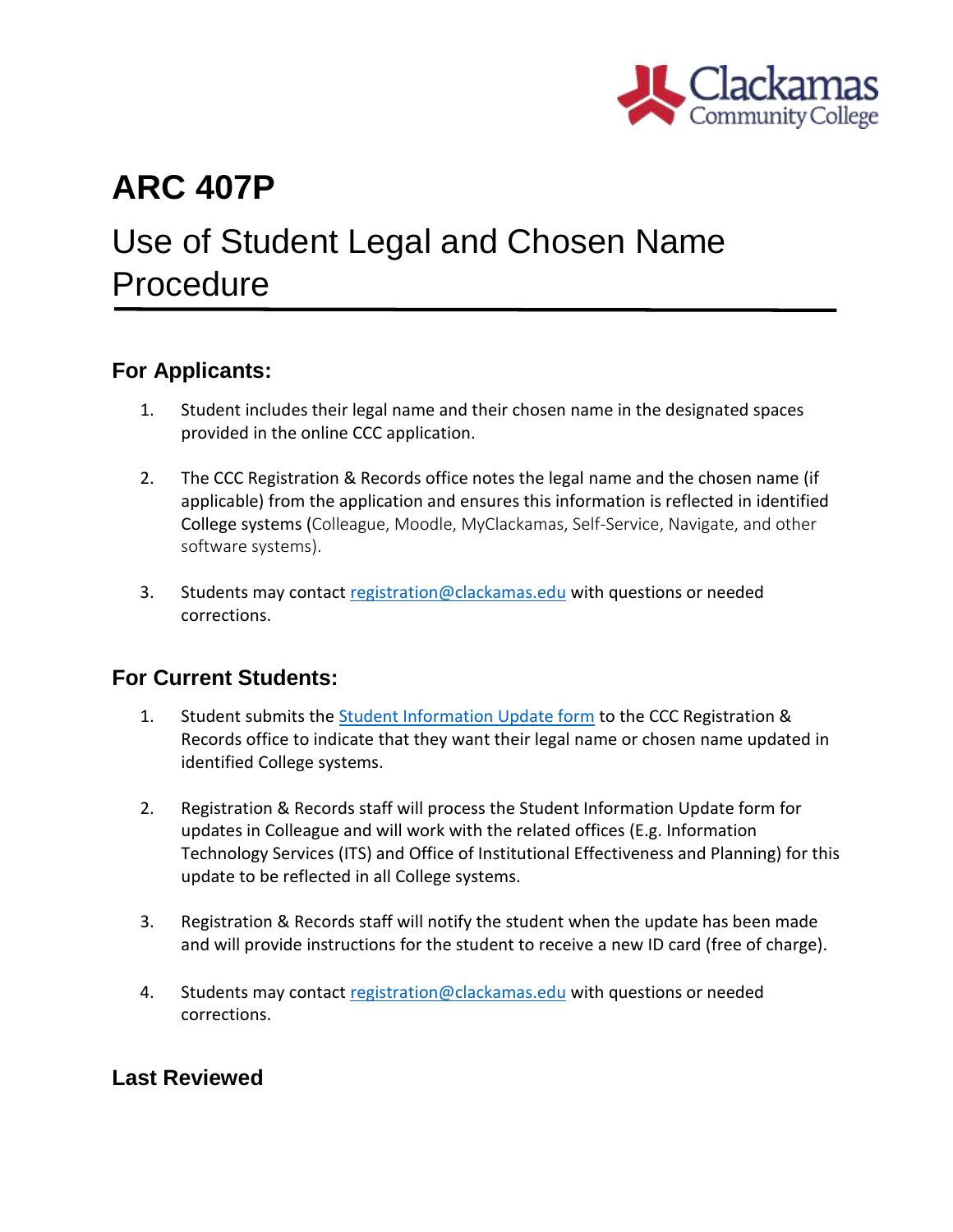

## **ARC 407P**

# Use of Student Legal and Chosen Name Procedure

### **For Applicants:**

- 1. Student includes their legal name and their chosen name in the designated spaces provided in the online CCC application.
- 2. The CCC Registration & Records office notes the legal name and the chosen name (if applicable) from the application and ensures this information is reflected in identified College systems (Colleague, Moodle, MyClackamas, Self-Service, Navigate, and other software systems).
- 3. Students may contact [registration@clackamas.edu](mailto:registration@clackamas.edu) with questions or needed corrections.

#### **For Current Students:**

- 1. Student submits the [Student Information Update form](https://www.clackamas.edu/docs/default-source/general-forms-and-documents/student-information-update.pdf?sfvrsn=1a5e89da_6) to the CCC Registration & Records office to indicate that they want their legal name or chosen name updated in identified College systems.
- 2. Registration & Records staff will process the Student Information Update form for updates in Colleague and will work with the related offices (E.g. Information Technology Services (ITS) and Office of Institutional Effectiveness and Planning) for this update to be reflected in all College systems.
- 3. Registration & Records staff will notify the student when the update has been made and will provide instructions for the student to receive a new ID card (free of charge).
- 4. Students may contact [registration@clackamas.edu](mailto:registration@clackamas.edu) with questions or needed corrections.

### **Last Reviewed**